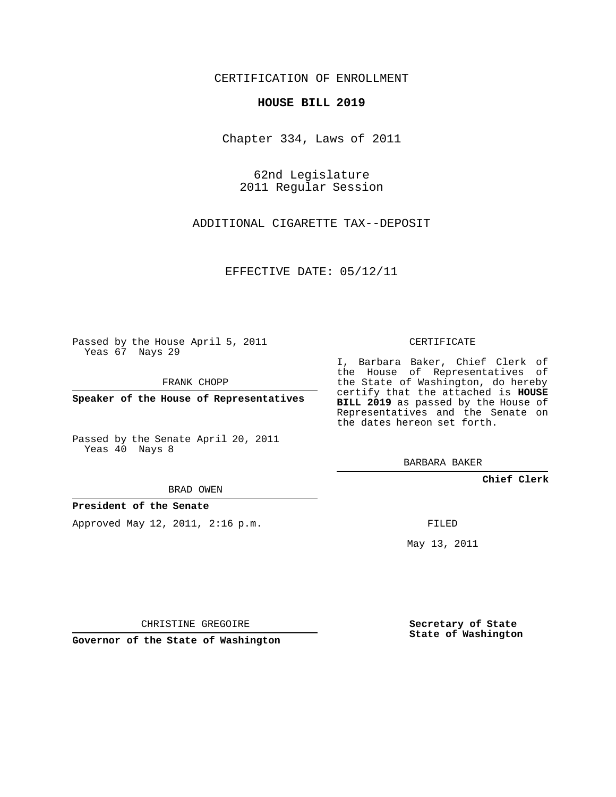## CERTIFICATION OF ENROLLMENT

## **HOUSE BILL 2019**

Chapter 334, Laws of 2011

62nd Legislature 2011 Regular Session

ADDITIONAL CIGARETTE TAX--DEPOSIT

EFFECTIVE DATE: 05/12/11

Passed by the House April 5, 2011 Yeas 67 Nays 29

FRANK CHOPP

**Speaker of the House of Representatives**

Passed by the Senate April 20, 2011 Yeas 40 Nays 8

BARBARA BAKER

## **Chief Clerk**

FILED

May 13, 2011

CHRISTINE GREGOIRE

**Governor of the State of Washington**

**Secretary of State State of Washington**

CERTIFICATE

I, Barbara Baker, Chief Clerk of the House of Representatives of the State of Washington, do hereby certify that the attached is **HOUSE BILL 2019** as passed by the House of Representatives and the Senate on the dates hereon set forth.

BRAD OWEN

**President of the Senate**

Approved May 12, 2011, 2:16 p.m.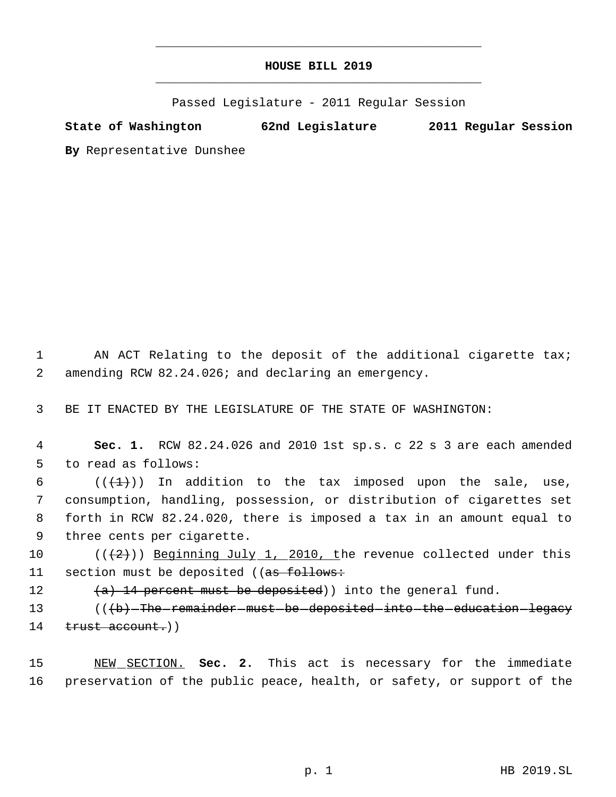## **HOUSE BILL 2019** \_\_\_\_\_\_\_\_\_\_\_\_\_\_\_\_\_\_\_\_\_\_\_\_\_\_\_\_\_\_\_\_\_\_\_\_\_\_\_\_\_\_\_\_\_

\_\_\_\_\_\_\_\_\_\_\_\_\_\_\_\_\_\_\_\_\_\_\_\_\_\_\_\_\_\_\_\_\_\_\_\_\_\_\_\_\_\_\_\_\_

Passed Legislature - 2011 Regular Session

**State of Washington 62nd Legislature 2011 Regular Session**

**By** Representative Dunshee

1 AN ACT Relating to the deposit of the additional cigarette tax; 2 amending RCW 82.24.026; and declaring an emergency.

3 BE IT ENACTED BY THE LEGISLATURE OF THE STATE OF WASHINGTON:

 4 **Sec. 1.** RCW 82.24.026 and 2010 1st sp.s. c 22 s 3 are each amended 5 to read as follows:

6 ( $(\frac{1}{1})$ ) In addition to the tax imposed upon the sale, use, consumption, handling, possession, or distribution of cigarettes set forth in RCW 82.24.020, there is imposed a tax in an amount equal to three cents per cigarette.

10 ( $(\frac{2}{2})$ ) Beginning July 1, 2010, the revenue collected under this 11 section must be deposited ((as follows:

12  $(a)$  14 percent must be deposited) into the general fund.

13 (((b) The remainder must be deposited into the education legacy 14 trust account.))

15 NEW SECTION. **Sec. 2.** This act is necessary for the immediate 16 preservation of the public peace, health, or safety, or support of the